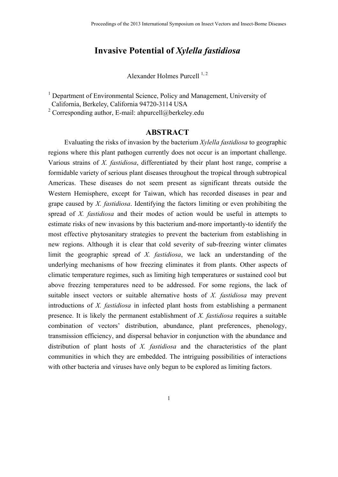# **Invasive Potential of** *Xylella fastidiosa*

Alexander Holmes Purcell  $^{1, 2}$ 

<sup>1</sup> Department of Environmental Science, Policy and Management, University of California, Berkeley, California 94720-3114 USA

<sup>2</sup> Corresponding author, E-mail: ahpurcell@berkeley.edu

# **ABSTRACT**

Evaluating the risks of invasion by the bacterium *Xylella fastidiosa* to geographic regions where this plant pathogen currently does not occur is an important challenge. Various strains of *X. fastidiosa*, differentiated by their plant host range, comprise a formidable variety of serious plant diseases throughout the tropical through subtropical Americas. These diseases do not seem present as significant threats outside the Western Hemisphere, except for Taiwan, which has recorded diseases in pear and grape caused by *X. fastidiosa*. Identifying the factors limiting or even prohibiting the spread of *X. fastidiosa* and their modes of action would be useful in attempts to estimate risks of new invasions by this bacterium and-more importantly-to identify the most effective phytosanitary strategies to prevent the bacterium from establishing in new regions. Although it is clear that cold severity of sub-freezing winter climates limit the geographic spread of *X. fastidiosa*, we lack an understanding of the underlying mechanisms of how freezing eliminates it from plants. Other aspects of climatic temperature regimes, such as limiting high temperatures or sustained cool but above freezing temperatures need to be addressed. For some regions, the lack of suitable insect vectors or suitable alternative hosts of *X. fastidiosa* may prevent introductions of *X. fastidiosa* in infected plant hosts from establishing a permanent presence. It is likely the permanent establishment of *X. fastidiosa* requires a suitable combination of vectors' distribution, abundance, plant preferences, phenology, transmission efficiency, and dispersal behavior in conjunction with the abundance and distribution of plant hosts of *X. fastidiosa* and the characteristics of the plant communities in which they are embedded. The intriguing possibilities of interactions with other bacteria and viruses have only begun to be explored as limiting factors.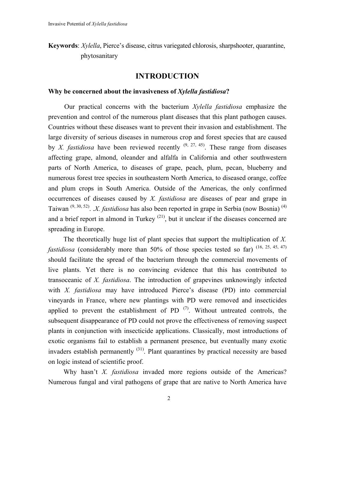**Keywords**: *Xylella*, Pierce's disease, citrus variegated chlorosis, sharpshooter, quarantine, phytosanitary

# **INTRODUCTION**

#### **Why be concerned about the invasiveness of** *Xylella fastidiosa***?**

Our practical concerns with the bacterium *Xylella fastidiosa* emphasize the prevention and control of the numerous plant diseases that this plant pathogen causes. Countries without these diseases want to prevent their invasion and establishment. The large diversity of serious diseases in numerous crop and forest species that are caused by *X. fastidiosa* have been reviewed recently  $(9, 27, 45)$ . These range from diseases affecting grape, almond, oleander and alfalfa in California and other southwestern parts of North America, to diseases of grape, peach, plum, pecan, blueberry and numerous forest tree species in southeastern North America, to diseased orange, coffee and plum crops in South America. Outside of the Americas, the only confirmed occurrences of diseases caused by *X. fastidiosa* are diseases of pear and grape in Taiwan (9, 30, 52). .*X. fastidiosa* has also been reported in grape in Serbia (now Bosnia) (4) and a brief report in almond in Turkey<sup> $(21)$ </sup>, but it unclear if the diseases concerned are spreading in Europe.

 The theoretically huge list of plant species that support the multiplication of *X. fastidiosa* (considerably more than 50% of those species tested so far) (16, 25, 45, 47) should facilitate the spread of the bacterium through the commercial movements of live plants. Yet there is no convincing evidence that this has contributed to transoceanic of *X. fastidiosa*. The introduction of grapevines unknowingly infected with *X. fastidiosa* may have introduced Pierce's disease (PD) into commercial vineyards in France, where new plantings with PD were removed and insecticides applied to prevent the establishment of PD $(7)$ . Without untreated controls, the subsequent disappearance of PD could not prove the effectiveness of removing suspect plants in conjunction with insecticide applications. Classically, most introductions of exotic organisms fail to establish a permanent presence, but eventually many exotic invaders establish permanently (31). Plant quarantines by practical necessity are based on logic instead of scientific proof.

 Why hasn't *X. fastidiosa* invaded more regions outside of the Americas? Numerous fungal and viral pathogens of grape that are native to North America have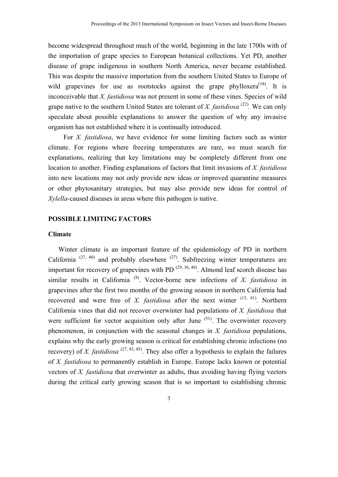become widespread throughout much of the world, beginning in the late 1700s with of the importation of grape species to European botanical collections. Yet PD, another disease of grape indigenous in southern North America, never became established. This was despite the massive importation from the southern United States to Europe of wild grapevines for use as rootstocks against the grape phylloxera<sup> $(18)$ </sup>. It is inconceivable that *X. fastidiosa* was not present in some of these vines. Species of wild grape native to the southern United States are tolerant of *X. fastidiosa* <sup>(22)</sup>. We can only speculate about possible explanations to answer the question of why any invasive organism has not established where it is continually introduced.

 For *X. fastidiosa*, we have evidence for some limiting factors such as winter climate. For regions where freezing temperatures are rare, we must search for explanations, realizing that key limitations may be completely different from one location to another. Finding explanations of factors that limit invasions of *X. fastidiosa* into new locations may not only provide new ideas or improved quarantine measures or other phytosanitary strategies, but may also provide new ideas for control of *Xylella*-caused diseases in areas where this pathogen is native.

## **POSSIBLE LIMITING FACTORS**

#### **Climate**

 Winter climate is an important feature of the epidemiology of PD in northern California  $(27, 40)$  and probably elsewhere  $(27)$ . Subfreezing winter temperatures are important for recovery of grapevines with PD  $(29, 36, 40)$ . Almond leaf scorch disease has similar results in California (8). Vector-borne new infections of *X. fastidiosa* in grapevines after the first two months of the growing season in northern California had recovered and were free of *X. fastidiosa* after the next winter <sup>(13, 41)</sup>. Northern California vines that did not recover overwinter had populations of *X. fastidiosa* that were sufficient for vector acquisition only after June <sup>(51)</sup>. The overwinter recovery phenomenon, in conjunction with the seasonal changes in *X. fastidiosa* populations, explains why the early growing season is critical for establishing chronic infections (no recovery) of *X. fastidiosa*  $(27, 43, 45)$ . They also offer a hypothesis to explain the failures of *X. fastidiosa* to permanently establish in Europe. Europe lacks known or potential vectors of *X. fastidiosa* that overwinter as adults, thus avoiding having flying vectors during the critical early growing season that is so important to establishing chronic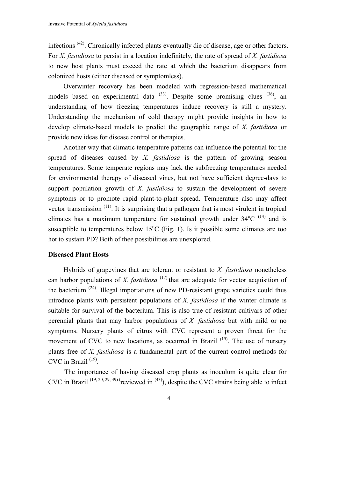infections  $(42)$ . Chronically infected plants eventually die of disease, age or other factors. For *X. fastidiosa* to persist in a location indefinitely, the rate of spread of *X. fastidiosa* to new host plants must exceed the rate at which the bacterium disappears from colonized hosts (either diseased or symptomless).

 Overwinter recovery has been modeled with regression-based mathematical models based on experimental data  $^{(33)}$ . Despite some promising clues  $^{(36)}$ , an understanding of how freezing temperatures induce recovery is still a mystery. Understanding the mechanism of cold therapy might provide insights in how to develop climate-based models to predict the geographic range of *X. fastidiosa* or provide new ideas for disease control or therapies.

 Another way that climatic temperature patterns can influence the potential for the spread of diseases caused by *X. fastidiosa* is the pattern of growing season temperatures. Some temperate regions may lack the subfreezing temperatures needed for environmental therapy of diseased vines, but not have sufficient degree-days to support population growth of *X. fastidiosa* to sustain the development of severe symptoms or to promote rapid plant-to-plant spread. Temperature also may affect vector transmission (11). It is surprising that a pathogen that is most virulent in tropical climates has a maximum temperature for sustained growth under  $34^{\circ}$ C  $(14)$  and is susceptible to temperatures below  $15^{\circ}$ C (Fig. 1). Is it possible some climates are too hot to sustain PD? Both of thee possibilities are unexplored.

### **Diseased Plant Hosts**

 Hybrids of grapevines that are tolerant or resistant to *X. fastidiosa* nonetheless can harbor populations of *X. fastidiosa*  $(17)$  that are adequate for vector acquisition of the bacterium (24). Illegal importations of new PD-resistant grape varieties could thus introduce plants with persistent populations of *X. fastidiosa* if the winter climate is suitable for survival of the bacterium. This is also true of resistant cultivars of other perennial plants that may harbor populations of *X. fastidiosa* but with mild or no symptoms. Nursery plants of citrus with CVC represent a proven threat for the movement of CVC to new locations, as occurred in Brazil <sup>(19)</sup>. The use of nursery plants free of *X. fastidiosa* is a fundamental part of the current control methods for CVC in Brazil (19).

The importance of having diseased crop plants as inoculum is quite clear for CVC in Brazil<sup>(19, 20, 29, 49)</sup> (reviewed in <sup>(43)</sup>), despite the CVC strains being able to infect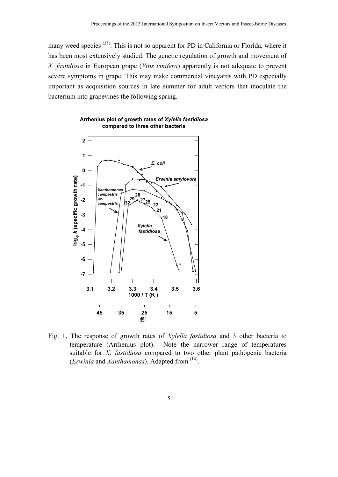many weed species <sup>(35)</sup>. This is not so apparent for PD in California or Florida, where it has been most extensively studied. The genetic regulation of growth and movement of *X. fastidiosa* in European grape (*Vitis vinifera*) apparently is not adequate to prevent severe symptoms in grape. This may make commercial vineyards with PD especially important as acquisition sources in late summer for adult vectors that inoculate the bacterium into grapevines the following spring.





Fig. 1. The response of growth rates of *Xylella fastidiosa* and 3 other bacteria to temperature (Arrhenius plot). Note the narrower range of temperatures suitable for *X. fastidiosa* compared to two other plant pathogenic bacteria (*Erwinia* and *Xanthamonas*). Adapted from (14).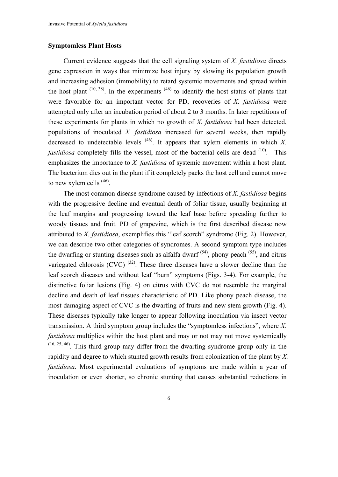### **Symptomless Plant Hosts**

 Current evidence suggests that the cell signaling system of *X. fastidiosa* directs gene expression in ways that minimize host injury by slowing its population growth and increasing adhesion (immobility) to retard systemic movements and spread within the host plant  $(10, 38)$ . In the experiments  $(46)$  to identify the host status of plants that were favorable for an important vector for PD, recoveries of *X. fastidiosa* were attempted only after an incubation period of about 2 to 3 months. In later repetitions of these experiments for plants in which no growth of *X. fastidiosa* had been detected, populations of inoculated *X. fastidiosa* increased for several weeks, then rapidly decreased to undetectable levels  $(46)$ . It appears that xylem elements in which *X*. *fastidiosa* completely fills the vessel, most of the bacterial cells are dead  $(10)$ . This emphasizes the importance to *X. fastidiosa* of systemic movement within a host plant. The bacterium dies out in the plant if it completely packs the host cell and cannot move to new xylem cells <sup>(46)</sup>.

 The most common disease syndrome caused by infections of *X. fastidiosa* begins with the progressive decline and eventual death of foliar tissue, usually beginning at the leaf margins and progressing toward the leaf base before spreading further to woody tissues and fruit. PD of grapevine, which is the first described disease now attributed to *X. fastidiosa*, exemplifies this "leaf scorch" syndrome (Fig. 2). However, we can describe two other categories of syndromes. A second symptom type includes the dwarfing or stunting diseases such as alfalfa dwarf  $(54)$ , phony peach  $(55)$ , and citrus variegated chlorosis (CVC)  $(32)$ . These three diseases have a slower decline than the leaf scorch diseases and without leaf "burn" symptoms (Figs. 3-4). For example, the distinctive foliar lesions (Fig. 4) on citrus with CVC do not resemble the marginal decline and death of leaf tissues characteristic of PD. Like phony peach disease, the most damaging aspect of CVC is the dwarfing of fruits and new stem growth (Fig. 4). These diseases typically take longer to appear following inoculation via insect vector transmission. A third symptom group includes the "symptomless infections", where *X. fastidiosa* multiplies within the host plant and may or not may not move systemically (16, 25, 46). This third group may differ from the dwarfing syndrome group only in the rapidity and degree to which stunted growth results from colonization of the plant by *X. fastidiosa*. Most experimental evaluations of symptoms are made within a year of inoculation or even shorter, so chronic stunting that causes substantial reductions in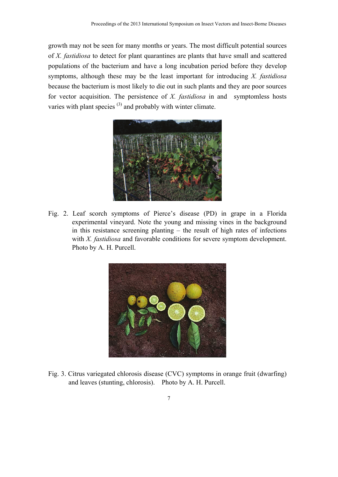growth may not be seen for many months or years. The most difficult potential sources of *X. fastidiosa* to detect for plant quarantines are plants that have small and scattered populations of the bacterium and have a long incubation period before they develop symptoms, although these may be the least important for introducing *X. fastidiosa* because the bacterium is most likely to die out in such plants and they are poor sources for vector acquisition. The persistence of *X. fastidiosa* in and symptomless hosts varies with plant species  $(3)$  and probably with winter climate.



Fig. 2. Leaf scorch symptoms of Pierce's disease (PD) in grape in a Florida experimental vineyard. Note the young and missing vines in the background in this resistance screening planting – the result of high rates of infections with *X. fastidiosa* and favorable conditions for severe symptom development. Photo by A. H. Purcell.



Fig. 3. Citrus variegated chlorosis disease (CVC) symptoms in orange fruit (dwarfing) and leaves (stunting, chlorosis). Photo by A. H. Purcell.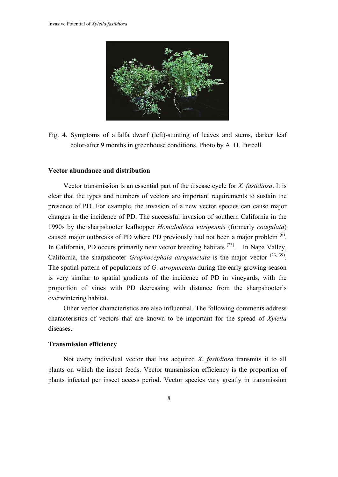

Fig. 4. Symptoms of alfalfa dwarf (left)-stunting of leaves and stems, darker leaf color-after 9 months in greenhouse conditions. Photo by A. H. Purcell.

#### **Vector abundance and distribution**

 Vector transmission is an essential part of the disease cycle for *X. fastidiosa*. It is clear that the types and numbers of vectors are important requirements to sustain the presence of PD. For example, the invasion of a new vector species can cause major changes in the incidence of PD. The successful invasion of southern California in the 1990s by the sharpshooter leafhopper *Homalodisca vitripennis* (formerly *coagulata*) caused major outbreaks of PD where PD previously had not been a major problem <sup>(6)</sup>. In California, PD occurs primarily near vector breeding habitats  $(23)$ . In Napa Valley, California, the sharpshooter *Graphocephala atropunctata* is the major vector  $(23, 39)$ . The spatial pattern of populations of *G*. *atropunctata* during the early growing season is very similar to spatial gradients of the incidence of PD in vineyards, with the proportion of vines with PD decreasing with distance from the sharpshooter's overwintering habitat.

 Other vector characteristics are also influential. The following comments address characteristics of vectors that are known to be important for the spread of *Xylella* diseases.

#### **Transmission efficiency**

 Not every individual vector that has acquired *X. fastidiosa* transmits it to all plants on which the insect feeds. Vector transmission efficiency is the proportion of plants infected per insect access period. Vector species vary greatly in transmission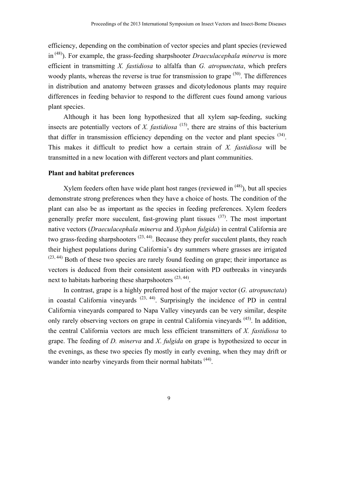efficiency, depending on the combination of vector species and plant species (reviewed in (48)). For example, the grass-feeding sharpshooter *Draeculacephala minerva* is more efficient in transmitting *X. fastidiosa* to alfalfa than *G. atropunctata*, which prefers woody plants, whereas the reverse is true for transmission to grape  $(50)$ . The differences in distribution and anatomy between grasses and dicotyledonous plants may require differences in feeding behavior to respond to the different cues found among various plant species.

 Although it has been long hypothesized that all xylem sap-feeding, sucking insects are potentially vectors of *X. fastidiosa*  $(15)$ , there are strains of this bacterium that differ in transmission efficiency depending on the vector and plant species (34). This makes it difficult to predict how a certain strain of *X. fastidiosa* will be transmitted in a new location with different vectors and plant communities.

#### **Plant and habitat preferences**

Xylem feeders often have wide plant host ranges (reviewed in  $(48)$ ), but all species demonstrate strong preferences when they have a choice of hosts. The condition of the plant can also be as important as the species in feeding preferences. Xylem feeders generally prefer more succulent, fast-growing plant tissues  $(37)$ . The most important native vectors (*Draeculacephala minerva* and *Xyphon fulgida*) in central California are two grass-feeding sharpshooters  $(23, 44)$ . Because they prefer succulent plants, they reach their highest populations during California's dry summers where grasses are irrigated  $(23, 44)$  Both of these two species are rarely found feeding on grape; their importance as vectors is deduced from their consistent association with PD outbreaks in vineyards next to habitats harboring these sharpshooters  $(23, 44)$ .

 In contrast, grape is a highly preferred host of the major vector (*G. atropunctata*) in coastal California vineyards  $(23, 44)$ . Surprisingly the incidence of PD in central California vineyards compared to Napa Valley vineyards can be very similar, despite only rarely observing vectors on grape in central California vineyards (45). In addition, the central California vectors are much less efficient transmitters of *X. fastidiosa* to grape. The feeding of *D. minerva* and *X*. *fulgida* on grape is hypothesized to occur in the evenings, as these two species fly mostly in early evening, when they may drift or wander into nearby vineyards from their normal habitats <sup>(44)</sup>.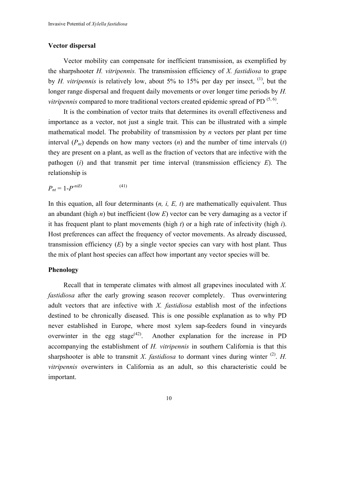#### **Vector dispersal**

 Vector mobility can compensate for inefficient transmission, as exemplified by the sharpshooter *H. vitripennis.* The transmission efficiency of *X. fastidiosa* to grape by *H. vitripennis* is relatively low, about 5% to 15% per day per insect, (1), but the longer range dispersal and frequent daily movements or over longer time periods by *H. vitripennis* compared to more traditional vectors created epidemic spread of PD  $(5, 6)$ .

 It is the combination of vector traits that determines its overall effectiveness and importance as a vector, not just a single trait. This can be illustrated with a simple mathematical model. The probability of transmission by *n* vectors per plant per time interval  $(P_{nt})$  depends on how many vectors  $(n)$  and the number of time intervals  $(t)$ they are present on a plant, as well as the fraction of vectors that are infective with the pathogen (*i*) and that transmit per time interval (transmission efficiency *E*). The relationship is

$$
P_{nt} = 1 - P^{n i E t} \tag{41}
$$

In this equation, all four determinants (*n, i, E, t*) are mathematically equivalent. Thus an abundant (high *n*) but inefficient (low *E*) vector can be very damaging as a vector if it has frequent plant to plant movements (high *t*) or a high rate of infectivity (high *i*). Host preferences can affect the frequency of vector movements. As already discussed, transmission efficiency (*E*) by a single vector species can vary with host plant. Thus the mix of plant host species can affect how important any vector species will be.

#### **Phenology**

 Recall that in temperate climates with almost all grapevines inoculated with *X. fastidiosa* after the early growing season recover completely. Thus overwintering adult vectors that are infective with *X. fastidiosa* establish most of the infections destined to be chronically diseased. This is one possible explanation as to why PD never established in Europe, where most xylem sap-feeders found in vineyards overwinter in the egg stage<sup> $(42)$ </sup>. Another explanation for the increase in PD accompanying the establishment of *H. vitripennis* in southern California is that this sharpshooter is able to transmit *X*. *fastidiosa* to dormant vines during winter <sup>(2)</sup>. *H*. *vitripennis* overwinters in California as an adult, so this characteristic could be important.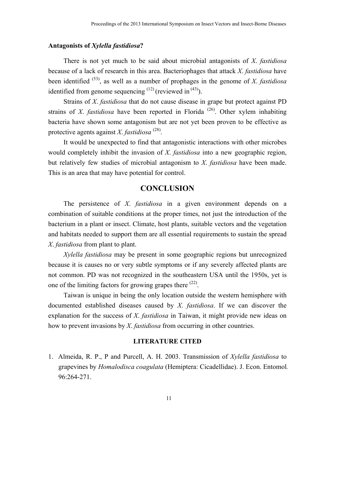#### **Antagonists of** *Xylella fastidiosa***?**

 There is not yet much to be said about microbial antagonists of *X*. *fastidiosa* because of a lack of research in this area. Bacteriophages that attack *X*. *fastidiosa* have been identified (53), as well as a number of prophages in the genome of *X*. *fastidiosa* identified from genome sequencing  $(12)$  (reviewed in  $(43)$ ).

 Strains of *X*. *fastidiosa* that do not cause disease in grape but protect against PD strains of *X*. *fastidiosa* have been reported in Florida<sup>(26)</sup>. Other xylem inhabiting bacteria have shown some antagonism but are not yet been proven to be effective as protective agents against *X*. *fastidiosa* (28).

 It would be unexpected to find that antagonistic interactions with other microbes would completely inhibit the invasion of *X*. *fastidiosa* into a new geographic region, but relatively few studies of microbial antagonism to *X*. *fastidiosa* have been made. This is an area that may have potential for control.

# **CONCLUSION**

 The persistence of *X*. *fastidiosa* in a given environment depends on a combination of suitable conditions at the proper times, not just the introduction of the bacterium in a plant or insect. Climate, host plants, suitable vectors and the vegetation and habitats needed to support them are all essential requirements to sustain the spread *X*. *fastidiosa* from plant to plant.

*Xylella fastidiosa* may be present in some geographic regions but unrecognized because it is causes no or very subtle symptoms or if any severely affected plants are not common. PD was not recognized in the southeastern USA until the 1950s, yet is one of the limiting factors for growing grapes there <sup>(22)</sup>.

 Taiwan is unique in being the only location outside the western hemisphere with documented established diseases caused by *X*. *fastidiosa*. If we can discover the explanation for the success of *X*. *fastidiosa* in Taiwan, it might provide new ideas on how to prevent invasions by *X*. *fastidiosa* from occurring in other countries.

### **LITERATURE CITED**

1. Almeida, R. P., P and Purcell, A. H. 2003. Transmission of *Xylella fastidiosa* to grapevines by *Homalodisca coagulata* (Hemiptera: Cicadellidae). J. Econ. Entomol*.* 96:264-271.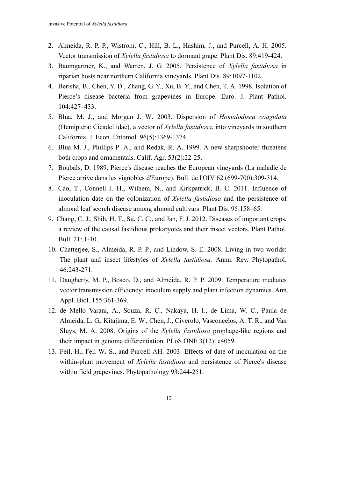- 2. Almeida, R. P. P., Wistrom, C., Hill, B. L., Hashim, J., and Purcell, A. H. 2005. Vector transmission of *Xylella fastidiosa* to dormant grape. Plant Dis. 89:419-424.
- 3. Baumgartner, K., and Warren, J. G. 2005. Persistence of *Xylella fastidiosa* in riparian hosts near northern California vineyards. Plant Dis. 89:1097-1102.
- 4. Berisha, B., Chen, Y. D., Zhang, G. Y., Xu, B. Y., and Chen, T. A. 1998. Isolation of Pierce's disease bacteria from grapevines in Europe. Euro. J. Plant Pathol. 104:427–433.
- 5. Blua, M. J., and Morgan J. W. 2003. Dispersion of *Homalodisca coagulata* (Hemiptera: Cicadellidae), a vector of *Xylella fastidiosa*, into vineyards in southern California. J. Econ. Entomol. 96(5):1369-1374.
- 6. Blua M. J., Phillips P. A., and Redak, R. A. 1999. A new sharpshooter threatens both crops and ornamentals. Calif. Agr. 53(2):22-25.
- 7. Boubals, D. 1989. Pierce's disease reaches the European vineyards (La maladie de Pierce arrive dans les vignobles d'Europe). Bull. de l'OIV 62 (699-700):309-314.
- 8. Cao, T., Connell J. H., Wilhem, N., and Kirkpatrick, B. C. 2011. Influence of inoculation date on the colonization of *Xylella fastidiosa* and the persistence of almond leaf scorch disease among almond cultivars. Plant Dis*.* 95:158–65.
- 9. Chang, C. J., Shih, H. T., Su, C. C., and Jan, F. J. 2012. Diseases of important crops, a review of the causal fastidious prokaryotes and their insect vectors. Plant Pathol. Bull. 21: 1-10.
- 10. Chatterjee, S., Almeida, R. P. P., and Lindow, S. E. 2008. Living in two worlds: The plant and insect lifestyles of *Xylella fastidiosa.* Annu. Rev. Phytopathol. 46:243-271.
- 11. Daugherty, M. P., Bosco, D., and Almeida, R. P. P. 2009. Temperature mediates vector transmission efficiency: inoculum supply and plant infection dynamics. Ann. Appl. Biol. 155:361-369.
- 12. de Mello Varani, A., Souza, R. C., Nakaya, H. I., de Lima, W. C., Paula de Almeida, L. G., Kitajima, E. W., Chen, J., Civerolo, Vasconcelos, A. T. R., and Van Sluys, M. A. 2008. Origins of the *Xylella fastidiosa* prophage-like regions and their impact in genome differentiation. PLoS ONE 3(12): e4059.
- 13. Feil, H., Feil W. S., and Purcell AH. 2003. Effects of date of inoculation on the within-plant movement of *Xylella fastidiosa* and persistence of Pierce's disease within field grapevines. Phytopathology 93:244-251.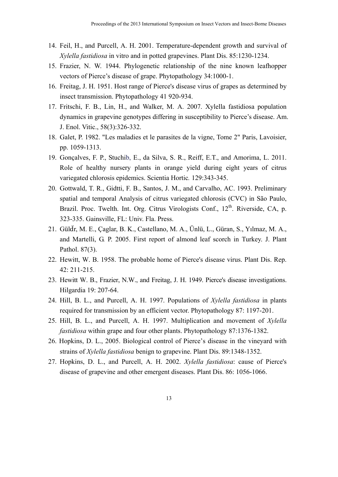- 14. Feil, H., and Purcell, A. H. 2001. Temperature-dependent growth and survival of *Xylella fastidiosa* in vitro and in potted grapevines. Plant Dis. 85:1230-1234.
- 15. Frazier, N. W. 1944. Phylogenetic relationship of the nine known leafhopper vectors of Pierce's disease of grape. Phytopathology 34:1000-1.
- 16. Freitag, J. H. 1951. Host range of Pierce's disease virus of grapes as determined by insect transmission. Phytopathology 41 920-934.
- 17. Fritschi, F. B., Lin, H., and Walker, M. A. 2007. Xylella fastidiosa population dynamics in grapevine genotypes differing in susceptibility to Pierce's disease. Am. J. Enol. Vitic., 58(3):326-332.
- 18. Galet, P. 1982. "Les maladies et le parasites de la vigne, Tome 2" Paris, Lavoisier, pp. 1059-1313.
- 19. Gonçalves, F. P., Stuchib, E., da Silva, S. R., Reiff, E.T., and Amorima, L. 2011. Role of healthy nursery plants in orange yield during eight years of citrus variegated chlorosis epidemics. Scientia Hortic*.* 129:343-345.
- 20. Gottwald, T. R., Gidtti, F. B., Santos, J. M., and Carvalho, AC. 1993. Preliminary spatial and temporal Analysis of citrus variegated chlorosis (CVC) in São Paulo, Brazil. Proc. Twelth. Int. Org. Citrus Virologists Conf., 12<sup>th</sup>. Riverside, CA, p. 323-335. Gainsville, FL: Univ. Fla. Press.
- 21. Güldr, M. E., Çaglar, B. K., Castellano, M. A., Ünlü, L., Güran, S., Yılmaz, M. A., and Martelli, G. P. 2005. First report of almond leaf scorch in Turkey. J. Plant Pathol. 87(3).
- 22. Hewitt, W. B. 1958. The probable home of Pierce's disease virus. Plant Dis. Rep. 42: 211-215.
- 23. Hewitt W. B., Frazier, N.W., and Freitag, J. H. 1949. Pierce's disease investigations. Hilgardia 19: 207-64.
- 24. Hill, B. L., and Purcell, A. H. 1997. Populations of *Xylella fastidiosa* in plants required for transmission by an efficient vector. Phytopathology 87: 1197-201.
- 25. Hill, B. L., and Purcell, A. H. 1997. Multiplication and movement of *Xylella fastidiosa* within grape and four other plants. Phytopathology 87:1376-1382.
- 26. Hopkins, D. L., 2005. Biological control of Pierce's disease in the vineyard with strains of *Xylella fastidiosa* benign to grapevine. Plant Dis. 89:1348-1352.
- 27. Hopkins, D. L., and Purcell, A. H. 2002. *Xylella fastidiosa*: cause of Pierce's disease of grapevine and other emergent diseases. Plant Dis. 86: 1056-1066.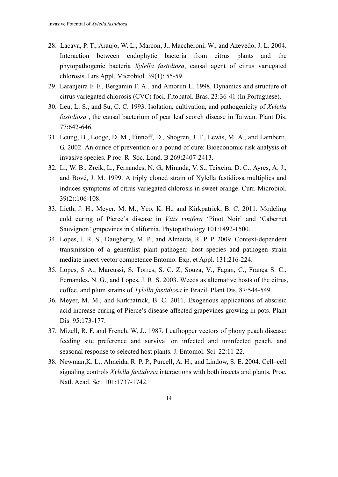- 28. Lacava, P. T., Araujo, W. L., Marcon, J., Maccheroni, W., and Azevedo, J. L. 2004. Interaction between endophytic bacteria from citrus plants and the phytopathogenic bacteria *Xylella fastidiosa*, causal agent of citrus variegated chlorosis. Ltrs Appl. Microbiol. 39(1): 55-59.
- 29. Laranjeira F. F., Bergamin F. A., and Amorim L. 1998. Dynamics and structure of citrus variegated chlorosis (CVC) foci. Fitopatol. Bras*.* 23:36-41 (In Portuguese).
- 30. Leu, L. S., and Su, C. C. 1993. Isolation, cultivation, and pathogenicity of *Xylella fastidiosa* , the causal bacterium of pear leaf scorch disease in Taiwan. Plant Dis. 77:642-646.
- 31. Leung, B., Lodge, D. M., Finnoff, D., Shogren, J. F., Lewis, M. A., and Lamberti, G. 2002. An ounce of prevention or a pound of cure: Bioeconomic risk analysis of invasive species. P roc. R. Soc. Lond. B 269:2407-2413.
- 32. Li, W. B., Zreik, L., Fernandes, N. G., Miranda, V. S., Teixeira, D. C., Ayres, A. J., and Bové, J. M. 1999. A triply cloned strain of Xylella fastidiosa multiplies and induces symptoms of citrus variegated chlorosis in sweet orange. Curr. Microbiol. 39(2):106-108.
- 33. Lieth, J. H., Meyer, M. M., Yeo, K. H., and Kirkpatrick, B. C. 2011. Modeling cold curing of Pierce's disease in *Vitis vinifera* 'Pinot Noir' and 'Cabernet Sauvignon' grapevines in California. Phytopathology 101:1492-1500.
- 34. Lopes, J. R. S., Daugherty, M. P., and Almeida, R. P. P. 2009. Context-dependent transmission of a generalist plant pathogen: host species and pathogen strain mediate insect vector competence Entomo. Exp. et Appl. 131:216-224.
- 35. Lopes, S A., Marcussi, S, Torres, S. C. Z, Souza, V., Fagan, C., França S. C., Fernandes, N. G., and Lopes, J. R. S. 2003. Weeds as alternative hosts of the citrus, coffee, and plum strains of *Xylella fastidiosa* in Brazil. Plant Dis. 87:544-549.
- 36. Meyer, M. M., and Kirkpatrick, B. C. 2011. Exogenous applications of abscisic acid increase curing of Pierce's disease-affected grapevines growing in pots. Plant Dis. 95:173-177.
- 37. Mizell, R. F. and French, W. J.. 1987. Leafhopper vectors of phony peach disease: feeding site preference and survival on infected and uninfected peach, and seasonal response to selected host plants. J. Entomol. Sci. 22:11-22.
- 38. Newman,K. L., Almeida, R. P. P., Purcell, A. H., and Lindow, S. E. 2004. Cell–cell signaling controls *Xylella fastidiosa* interactions with both insects and plants. Proc. Natl. Acad. Sci. 101:1737-1742.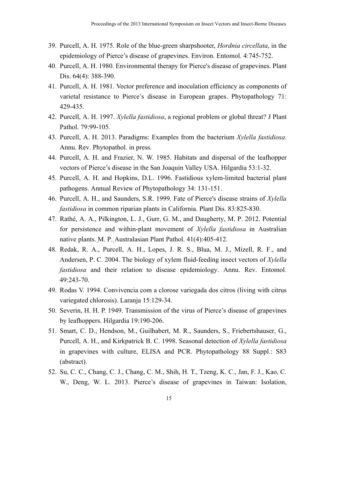- 39. Purcell, A. H. 1975. Role of the blue-green sharpshooter, *Hordnia circellata*, in the epidemiology of Pierce's disease of grapevines. Environ. Entomol*.* 4:745-752.
- 40. Purcell, A. H. 1980. Environmental therapy for Pierce's disease of grapevines. Plant Dis. 64(4): 388-390.
- 41. Purcell, A. H. 1981. Vector preference and inoculation efficiency as components of varietal resistance to Pierce's disease in European grapes. Phytopathology 71: 429-435.
- 42. Purcell, A. H. 1997. *Xylella fastidiosa*, a regional problem or global threat? J Plant Pathol. 79:99-105.
- 43. Purcell, A. H. 2013. Paradigms: Examples from the bacterium *Xylella fastidiosa*. Annu. Rev. Phytopathol. in press.
- 44. Purcell, A. H. and Frazier, N. W. 1985. Habitats and dispersal of the leafhopper vectors of Pierce's disease in the San Joaquin Valley USA. Hilgardia 53:1-32.
- 45. Purcell, A. H. and Hopkins, D.L. 1996. Fastidious xylem-limited bacterial plant pathogens. Annual Review of Phytopathology 34: 131-151.
- 46. Purcell, A. H., and Saunders, S.R. 1999. Fate of Pierce's disease strains of *Xylella fastidiosa* in common riparian plants in California. Plant Dis. 83:825-830.
- 47. Rathé, A. A., Pilkington, L. J., Gurr, G. M., and Daugherty, M. P. 2012. Potential for persistence and within-plant movement of *Xylella fastidiosa* in Australian native plants. M. P. Australasian Plant Pathol. 41(4):405-412.
- 48. Redak, R. A., Purcell, A. H., Lopes, J. R. S., Blua, M. J., Mizell, R. F., and Andersen, P. C. 2004. The biology of xylem fluid-feeding insect vectors of *Xylella fastidiosa* and their relation to disease epidemiology. Annu. Rev. Entomol*.*  49:243-70.
- 49. Rodas V. 1994. Convivencia com a clorose variegada dos citros (living with citrus variegated chlorosis). Laranja 15:129-34.
- 50. Severin, H. H. P. 1949. Transmission of the virus of Pierce's disease of grapevines by leafhoppers. Hilgardia 19:190-206.
- 51. Smart, C. D., Hendson, M., Guilhabert, M. R., Saunders, S., Friebertshauser, G., Purcell, A. H., and Kirkpatrick B. C. 1998. Seasonal detection of *Xylella fastidiosa* in grapevines with culture, ELISA and PCR. Phytopathology 88 Suppl.: S83 (abstract).
- 52. Su, C. C., Chang, C. J., Chang, C. M., Shih, H. T., Tzeng, K. C., Jan, F. J., Kao, C. W., Deng, W. L. 2013. Pierce's disease of grapevines in Taiwan: Isolation,